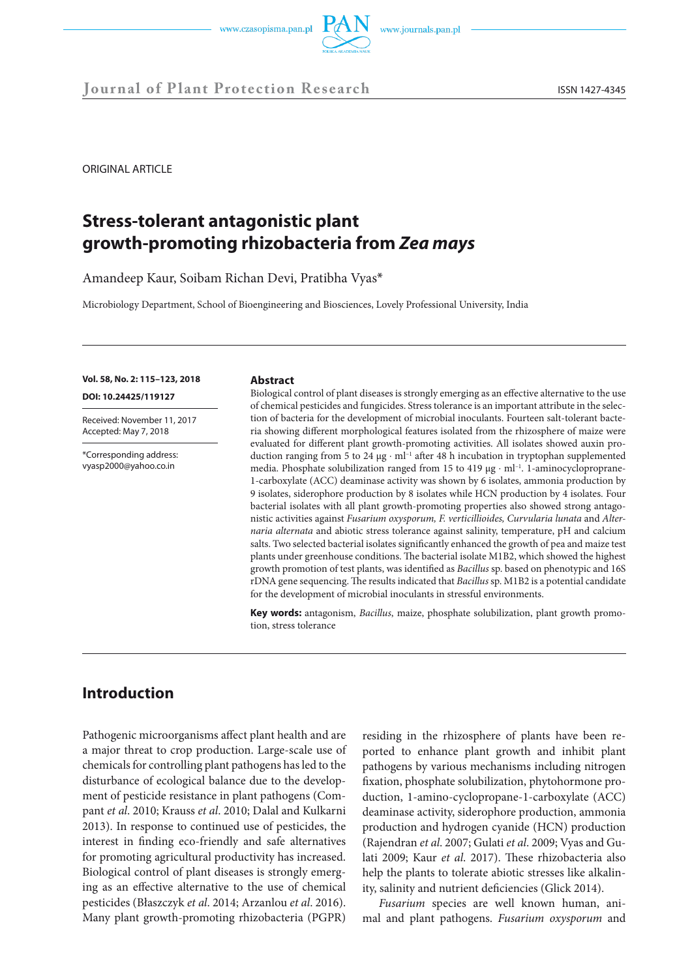



ORIGINAL ARTICLE

# **Stress-tolerant antagonistic plant growth-promoting rhizobacteria from** *Zea mays*

Amandeep Kaur, Soibam Richan Devi, Pratibha Vyas\*

Microbiology Department, School of Bioengineering and Biosciences, Lovely Professional University, India

#### **Vol. 58, No. 2: 115–123, 2018**

**DOI: 10.24425/119127** 

Received: November 11, 2017 Accepted: May 7, 2018

\*Corresponding address: vyasp2000@yahoo.co.in

#### **Abstract**

Biological control of plant diseases is strongly emerging as an effective alternative to the use of chemical pesticides and fungicides. Stress tolerance is an important attribute in the selection of bacteria for the development of microbial inoculants. Fourteen salt-tolerant bacteria showing different morphological features isolated from the rhizosphere of maize were evaluated for different plant growth-promoting activities. All isolates showed auxin production ranging from 5 to 24 µg ⋅ ml–1 after 48 h incubation in tryptophan supplemented media. Phosphate solubilization ranged from 15 to 419  $\mu$ g ⋅ ml<sup>-1</sup>. 1-aminocycloproprane-1-carboxylate (ACC) deaminase activity was shown by 6 isolates, ammonia production by 9 isolates, siderophore production by 8 isolates while HCN production by 4 isolates. Four bacterial isolates with all plant growth-promoting properties also showed strong antagonistic activities against *Fusarium oxysporum, F. verticillioides, Curvularia lunata* and *Alternaria alternata* and abiotic stress tolerance against salinity, temperature, pH and calcium salts. Two selected bacterial isolates significantly enhanced the growth of pea and maize test plants under greenhouse conditions. The bacterial isolate M1B2, which showed the highest growth promotion of test plants, was identified as *Bacillus* sp. based on phenotypic and 16S rDNA gene sequencing. The results indicated that *Bacillus* sp. M1B2 is a potential candidate for the development of microbial inoculants in stressful environments.

**Key words:** antagonism, *Bacillus*, maize, phosphate solubilization, plant growth promotion, stress tolerance

## **Introduction**

Pathogenic microorganisms affect plant health and are a major threat to crop production. Large-scale use of chemicals for controlling plant pathogens has led to the disturbance of ecological balance due to the development of pesticide resistance in plant pathogens (Compant *et al*. 2010; Krauss *et al*. 2010; Dalal and Kulkarni 2013). In response to continued use of pesticides, the interest in finding eco-friendly and safe alternatives for promoting agricultural productivity has increased. Biological control of plant diseases is strongly emerging as an effective alternative to the use of chemical pesticides (Błaszczyk *et al*. 2014; Arzanlou *et al*. 2016). Many plant growth-promoting rhizobacteria (PGPR)

residing in the rhizosphere of plants have been reported to enhance plant growth and inhibit plant pathogens by various mechanisms including nitrogen fixation, phosphate solubilization, phytohormone production, 1-amino-cyclopropane-1-carboxylate (ACC) deaminase activity, siderophore production, ammonia production and hydrogen cyanide (HCN) production (Rajendran *et al*. 2007; Gulati *et al*. 2009; Vyas and Gulati 2009; Kaur *et al*. 2017). These rhizobacteria also help the plants to tolerate abiotic stresses like alkalinity, salinity and nutrient deficiencies (Glick 2014).

*Fusarium* species are well known human, animal and plant pathogens. *Fusarium oxysporum* and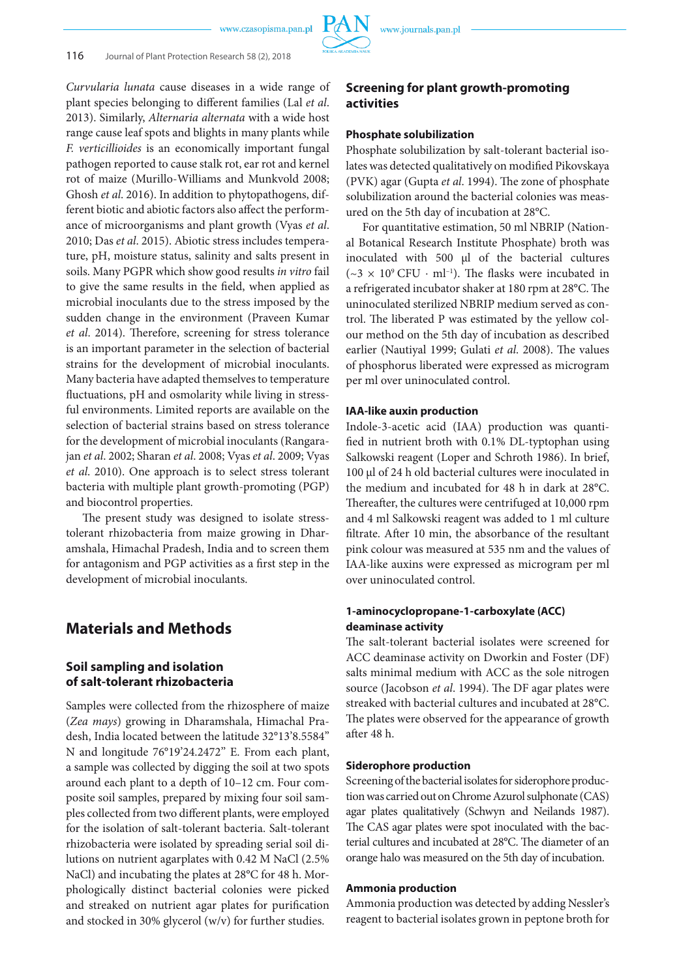*Curvularia lunata* cause diseases in a wide range of plant species belonging to different families (Lal *et al*. 2013). Similarly, *Alternaria alternata* with a wide host range cause leaf spots and blights in many plants while *F. verticillioides* is an economically important fungal pathogen reported to cause stalk rot, ear rot and kernel rot of maize (Murillo-Williams and Munkvold 2008; Ghosh *et al*. 2016). In addition to phytopathogens, different biotic and abiotic factors also affect the performance of microorganisms and plant growth (Vyas *et al*. 2010; Das *et al*. 2015). Abiotic stress includes temperature, pH, moisture status, salinity and salts present in soils. Many PGPR which show good results *in vitro* fail to give the same results in the field, when applied as microbial inoculants due to the stress imposed by the sudden change in the environment (Praveen Kumar *et al*. 2014). Therefore, screening for stress tolerance is an important parameter in the selection of bacterial strains for the development of microbial inoculants. Many bacteria have adapted themselves to temperature fluctuations, pH and osmolarity while living in stressful environments. Limited reports are available on the selection of bacterial strains based on stress tolerance for the development of microbial inoculants (Rangarajan *et al*. 2002; Sharan *et al*. 2008; Vyas *et al*. 2009; Vyas *et al*. 2010). One approach is to select stress tolerant bacteria with multiple plant growth-promoting (PGP) and biocontrol properties.

The present study was designed to isolate stresstolerant rhizobacteria from maize growing in Dharamshala, Himachal Pradesh, India and to screen them for antagonism and PGP activities as a first step in the development of microbial inoculants.

## **Materials and Methods**

## **Soil sampling and isolation of salt-tolerant rhizobacteria**

Samples were collected from the rhizosphere of maize (*Zea mays*) growing in Dharamshala, Himachal Pradesh, India located between the latitude 32°13'8.5584'' N and longitude 76°19'24.2472'' E. From each plant, a sample was collected by digging the soil at two spots around each plant to a depth of 10–12 cm. Four composite soil samples, prepared by mixing four soil samples collected from two different plants, were employed for the isolation of salt-tolerant bacteria. Salt-tolerant rhizobacteria were isolated by spreading serial soil dilutions on nutrient agarplates with 0.42 M NaCl (2.5% NaCl) and incubating the plates at 28°C for 48 h. Morphologically distinct bacterial colonies were picked and streaked on nutrient agar plates for purification and stocked in 30% glycerol (w/v) for further studies.

## **Screening for plant growth-promoting activities**

### **Phosphate solubilization**

Phosphate solubilization by salt-tolerant bacterial isolates was detected qualitatively on modified Pikovskaya (PVK) agar (Gupta *et al*. 1994). The zone of phosphate solubilization around the bacterial colonies was measured on the 5th day of incubation at 28°C.

For quantitative estimation, 50 ml NBRIP (National Botanical Research Institute Phosphate) broth was inoculated with 500 µl of the bacterial cultures ( $\sim$ 3 × 10° CFU · ml<sup>-1</sup>). The flasks were incubated in a refrigerated incubator shaker at 180 rpm at 28°C. The uninoculated sterilized NBRIP medium served as control. The liberated P was estimated by the yellow colour method on the 5th day of incubation as described earlier (Nautiyal 1999; Gulati *et al*. 2008). The values of phosphorus liberated were expressed as microgram per ml over uninoculated control.

#### **IAA-like auxin production**

Indole-3-acetic acid (IAA) production was quantified in nutrient broth with 0.1% DL-typtophan using Salkowski reagent (Loper and Schroth 1986). In brief, 100 µl of 24 h old bacterial cultures were inoculated in the medium and incubated for 48 h in dark at 28°C. Thereafter, the cultures were centrifuged at 10,000 rpm and 4 ml Salkowski reagent was added to 1 ml culture filtrate. After 10 min, the absorbance of the resultant pink colour was measured at 535 nm and the values of IAA-like auxins were expressed as microgram per ml over uninoculated control.

## **1-aminocyclopropane-1-carboxylate (ACC) deaminase activity**

The salt-tolerant bacterial isolates were screened for ACC deaminase activity on Dworkin and Foster (DF) salts minimal medium with ACC as the sole nitrogen source (Jacobson *et al*. 1994). The DF agar plates were streaked with bacterial cultures and incubated at 28°C. The plates were observed for the appearance of growth after 48 h.

### **Siderophore production**

Screening of the bacterial isolates for siderophore production was carried out on Chrome Azurol sulphonate (CAS) agar plates qualitatively (Schwyn and Neilands 1987). The CAS agar plates were spot inoculated with the bacterial cultures and incubated at 28°C. The diameter of an orange halo was measured on the 5th day of incubation.

#### **Ammonia production**

Ammonia production was detected by adding Nessler's reagent to bacterial isolates grown in peptone broth for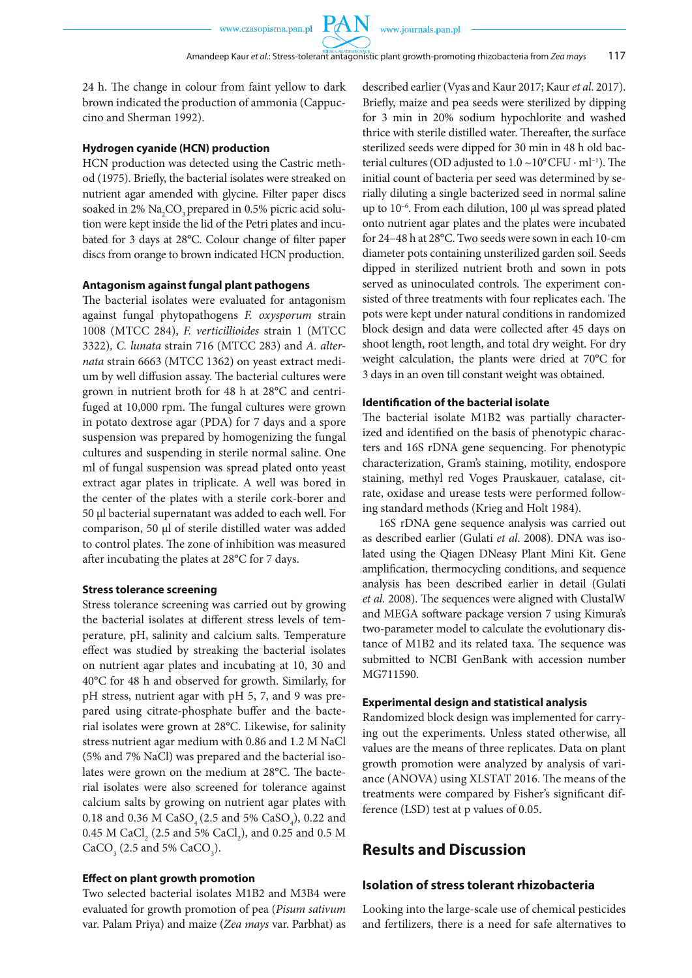**PAN** 

24 h. The change in colour from faint yellow to dark brown indicated the production of ammonia (Cappuccino and Sherman 1992).

#### **Hydrogen cyanide (HCN) production**

HCN production was detected using the Castric method (1975). Briefly, the bacterial isolates were streaked on nutrient agar amended with glycine. Filter paper discs soaked in 2%  $\rm Na_{2}CO_{3}$  prepared in 0.5% picric acid solution were kept inside the lid of the Petri plates and incubated for 3 days at 28°C. Colour change of filter paper discs from orange to brown indicated HCN production.

#### **Antagonism against fungal plant pathogens**

The bacterial isolates were evaluated for antagonism against fungal phytopathogens *F. oxysporum* strain 1008 (MTCC 284), *F. verticillioides* strain 1 (MTCC 3322)*, C. lunata* strain 716 (MTCC 283) and *A. alternata* strain 6663 (MTCC 1362) on yeast extract medium by well diffusion assay. The bacterial cultures were grown in nutrient broth for 48 h at 28°C and centrifuged at 10,000 rpm. The fungal cultures were grown in potato dextrose agar (PDA) for 7 days and a spore suspension was prepared by homogenizing the fungal cultures and suspending in sterile normal saline. One ml of fungal suspension was spread plated onto yeast extract agar plates in triplicate. A well was bored in the center of the plates with a sterile cork-borer and 50 µl bacterial supernatant was added to each well. For comparison, 50 µl of sterile distilled water was added to control plates. The zone of inhibition was measured after incubating the plates at 28°C for 7 days.

#### **Stress tolerance screening**

Stress tolerance screening was carried out by growing the bacterial isolates at different stress levels of temperature, pH, salinity and calcium salts. Temperature effect was studied by streaking the bacterial isolates on nutrient agar plates and incubating at 10, 30 and 40°C for 48 h and observed for growth. Similarly, for pH stress, nutrient agar with pH 5, 7, and 9 was prepared using citrate-phosphate buffer and the bacterial isolates were grown at 28°C. Likewise, for salinity stress nutrient agar medium with 0.86 and 1.2 M NaCl (5% and 7% NaCl) was prepared and the bacterial isolates were grown on the medium at 28°C. The bacterial isolates were also screened for tolerance against calcium salts by growing on nutrient agar plates with 0.18 and 0.36 M  $CaSO_4(2.5 \text{ and } 5\% \text{ CaSO}_4)$ , 0.22 and 0.45 M CaCl<sub>2</sub> (2.5 and 5% CaCl<sub>2</sub>), and 0.25 and 0.5 M  $CaCO<sub>3</sub>$  (2.5 and 5%  $CaCO<sub>3</sub>$ ).

#### **Effect on plant growth promotion**

Two selected bacterial isolates M1B2 and M3B4 were evaluated for growth promotion of pea (*Pisum sativum*  var. Palam Priya) and maize (*Zea mays* var. Parbhat) as described earlier (Vyas and Kaur 2017; Kaur *et al*. 2017). Briefly, maize and pea seeds were sterilized by dipping for 3 min in 20% sodium hypochlorite and washed thrice with sterile distilled water. Thereafter, the surface sterilized seeds were dipped for 30 min in 48 h old bacterial cultures (OD adjusted to  $1.0 \sim 10^9$  CFU  $\cdot$  ml<sup>-1</sup>). The initial count of bacteria per seed was determined by serially diluting a single bacterized seed in normal saline up to 10<sup>-6</sup>. From each dilution, 100 µl was spread plated onto nutrient agar plates and the plates were incubated for 24–48 h at 28°C. Two seeds were sown in each 10-cm diameter pots containing unsterilized garden soil. Seeds dipped in sterilized nutrient broth and sown in pots served as uninoculated controls. The experiment consisted of three treatments with four replicates each. The pots were kept under natural conditions in randomized block design and data were collected after 45 days on shoot length, root length, and total dry weight. For dry weight calculation, the plants were dried at 70°C for 3 days in an oven till constant weight was obtained.

#### **Identification of the bacterial isolate**

The bacterial isolate M1B2 was partially characterized and identified on the basis of phenotypic characters and 16S rDNA gene sequencing. For phenotypic characterization, Gram's staining, motility, endospore staining, methyl red Voges Prauskauer, catalase, citrate, oxidase and urease tests were performed following standard methods (Krieg and Holt 1984).

16S rDNA gene sequence analysis was carried out as described earlier (Gulati *et al*. 2008). DNA was isolated using the Qiagen DNeasy Plant Mini Kit. Gene amplification, thermocycling conditions, and sequence analysis has been described earlier in detail (Gulati *et al.* 2008). The sequences were aligned with ClustalW and MEGA software package version 7 using Kimura's two-parameter model to calculate the evolutionary distance of M1B2 and its related taxa. The sequence was submitted to NCBI GenBank with accession number MG711590.

#### **Experimental design and statistical analysis**

Randomized block design was implemented for carrying out the experiments. Unless stated otherwise, all values are the means of three replicates. Data on plant growth promotion were analyzed by analysis of variance (ANOVA) using XLSTAT 2016. The means of the treatments were compared by Fisher's significant difference (LSD) test at p values of 0.05.

## **Results and Discussion**

#### **Isolation of stress tolerant rhizobacteria**

Looking into the large-scale use of chemical pesticides and fertilizers, there is a need for safe alternatives to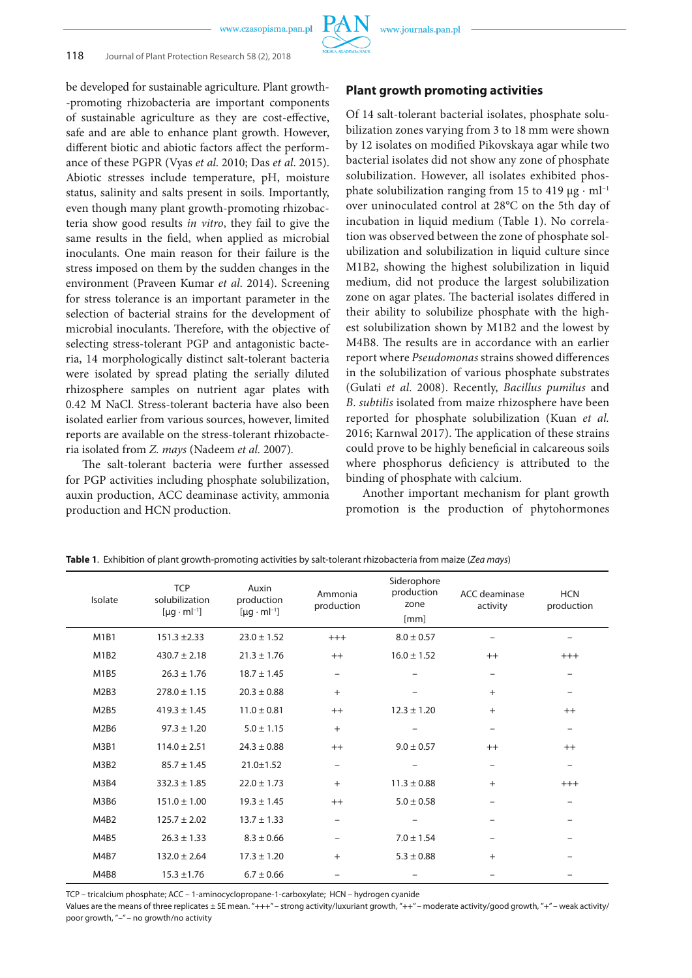

be developed for sustainable agriculture. Plant growth- -promoting rhizobacteria are important components of sustainable agriculture as they are cost-effective, safe and are able to enhance plant growth. However, different biotic and abiotic factors affect the performance of these PGPR (Vyas *et al*. 2010; Das *et al*. 2015). Abiotic stresses include temperature, pH, moisture status, salinity and salts present in soils. Importantly, even though many plant growth-promoting rhizobacteria show good results *in vitro*, they fail to give the same results in the field, when applied as microbial inoculants. One main reason for their failure is the stress imposed on them by the sudden changes in the environment (Praveen Kumar *et al*. 2014). Screening for stress tolerance is an important parameter in the selection of bacterial strains for the development of microbial inoculants. Therefore, with the objective of selecting stress-tolerant PGP and antagonistic bacteria, 14 morphologically distinct salt-tolerant bacteria were isolated by spread plating the serially diluted rhizosphere samples on nutrient agar plates with 0.42 M NaCl. Stress-tolerant bacteria have also been isolated earlier from various sources, however, limited reports are available on the stress-tolerant rhizobacteria isolated from *Z. mays* (Nadeem *et al.* 2007)*.*

The salt-tolerant bacteria were further assessed for PGP activities including phosphate solubilization, auxin production, ACC deaminase activity, ammonia production and HCN production.

### **Plant growth promoting activities**

Of 14 salt-tolerant bacterial isolates, phosphate solubilization zones varying from 3 to 18 mm were shown by 12 isolates on modified Pikovskaya agar while two bacterial isolates did not show any zone of phosphate solubilization. However, all isolates exhibited phosphate solubilization ranging from 15 to 419  $\mu$ g · ml<sup>-1</sup> over uninoculated control at 28°C on the 5th day of incubation in liquid medium (Table 1). No correlation was observed between the zone of phosphate solubilization and solubilization in liquid culture since M1B2, showing the highest solubilization in liquid medium, did not produce the largest solubilization zone on agar plates. The bacterial isolates differed in their ability to solubilize phosphate with the highest solubilization shown by M1B2 and the lowest by M4B8. The results are in accordance with an earlier report where *Pseudomonas* strains showed differences in the solubilization of various phosphate substrates (Gulati *et al*. 2008). Recently, *Bacillus pumilus* and *B*. *subtilis* isolated from maize rhizosphere have been reported for phosphate solubilization (Kuan *et al.*  2016; Karnwal 2017). The application of these strains could prove to be highly beneficial in calcareous soils where phosphorus deficiency is attributed to the binding of phosphate with calcium.

Another important mechanism for plant growth promotion is the production of phytohormones

| Isolate                       | <b>TCP</b><br>solubilization<br>$[ \mu g \cdot ml^{-1} ]$ | Auxin<br>production<br>$[ \mu g \cdot m l^{-1} ]$ | Ammonia<br>production    | Siderophore<br>production<br>zone<br>[mm] | ACC deaminase<br>activity | <b>HCN</b><br>production |
|-------------------------------|-----------------------------------------------------------|---------------------------------------------------|--------------------------|-------------------------------------------|---------------------------|--------------------------|
| M <sub>1</sub> B <sub>1</sub> | $151.3 \pm 2.33$                                          | $23.0 \pm 1.52$                                   | $+++$                    | $8.0 \pm 0.57$                            |                           |                          |
| M1B2                          | $430.7 \pm 2.18$                                          | $21.3 \pm 1.76$                                   | $++$                     | $16.0 \pm 1.52$                           | $++$                      | $+++$                    |
| M1B5                          | $26.3 \pm 1.76$                                           | $18.7 \pm 1.45$                                   | $\overline{\phantom{0}}$ |                                           |                           | $\qquad \qquad -$        |
| M <sub>2</sub> B <sub>3</sub> | $278.0 \pm 1.15$                                          | $20.3 \pm 0.88$                                   | $^{+}$                   |                                           | $+$                       | -                        |
| M2B5                          | $419.3 \pm 1.45$                                          | $11.0 \pm 0.81$                                   | $++$                     | $12.3 \pm 1.20$                           | $+$                       | $++$                     |
| M <sub>2</sub> B <sub>6</sub> | $97.3 \pm 1.20$                                           | $5.0 \pm 1.15$                                    | $+$                      |                                           |                           | -                        |
| M3B1                          | $114.0 \pm 2.51$                                          | $24.3 \pm 0.88$                                   | $++$                     | $9.0 \pm 0.57$                            | $++$                      | $++$                     |
| M3B2                          | $85.7 \pm 1.45$                                           | $21.0 \pm 1.52$                                   | $\qquad \qquad -$        |                                           |                           | $\qquad \qquad -$        |
| M3B4                          | $332.3 \pm 1.85$                                          | $22.0 \pm 1.73$                                   | $+$                      | $11.3 \pm 0.88$                           | $+$                       | $+++$                    |
| M3B6                          | $151.0 \pm 1.00$                                          | $19.3 \pm 1.45$                                   | $++$                     | $5.0 \pm 0.58$                            |                           |                          |
| M4B2                          | $125.7 \pm 2.02$                                          | $13.7 \pm 1.33$                                   | $\overline{\phantom{0}}$ |                                           |                           |                          |
| M4B5                          | $26.3 \pm 1.33$                                           | $8.3 \pm 0.66$                                    | $\overline{\phantom{0}}$ | $7.0 \pm 1.54$                            |                           |                          |
| M4B7                          | $132.0 \pm 2.64$                                          | $17.3 \pm 1.20$                                   | $+$                      | $5.3 \pm 0.88$                            | $+$                       |                          |
| M4B8                          | $15.3 \pm 1.76$                                           | $6.7 \pm 0.66$                                    | $\overline{\phantom{0}}$ |                                           |                           |                          |

**Table 1**. Exhibition of plant growth-promoting activities by salt-tolerant rhizobacteria from maize (*Zea mays*)

TCP – tricalcium phosphate; ACC – 1-aminocyclopropane-1-carboxylate; HCN – hydrogen cyanide

Values are the means of three replicates ± SE mean. "+++" – strong activity/luxuriant growth, "++" – moderate activity/good growth, "+" – weak activity/ poor growth, "–" – no growth/no activity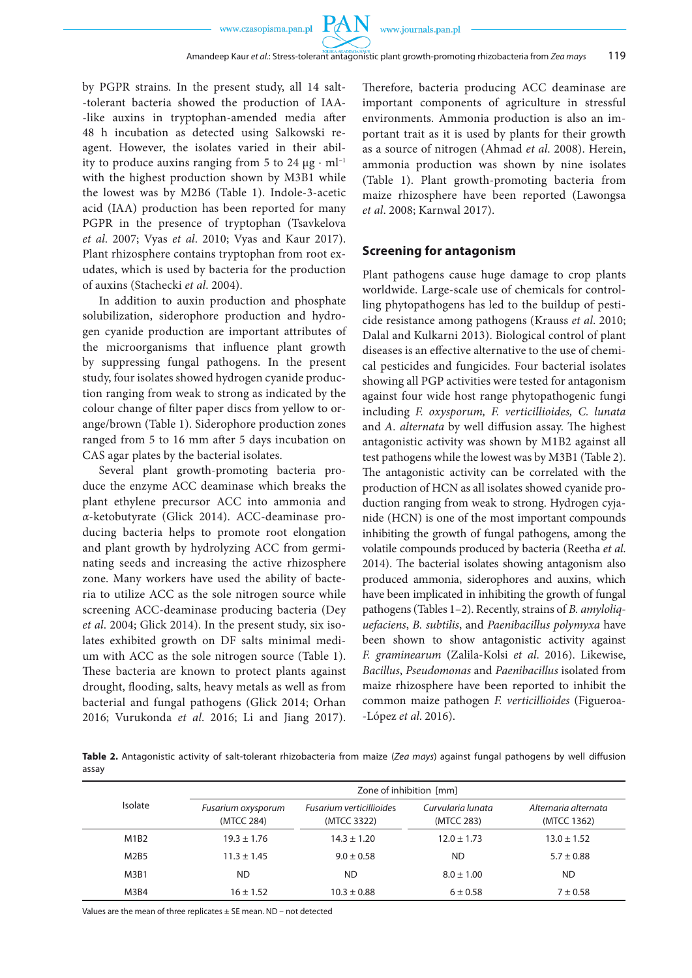PA

by PGPR strains. In the present study, all 14 salt- -tolerant bacteria showed the production of IAA- -like auxins in tryptophan-amended media after 48 h incubation as detected using Salkowski reagent. However, the isolates varied in their ability to produce auxins ranging from 5 to 24  $\mu$ g ⋅ ml<sup>-1</sup> with the highest production shown by M3B1 while the lowest was by M2B6 (Table 1). Indole-3-acetic acid (IAA) production has been reported for many PGPR in the presence of tryptophan (Tsavkelova *et al*. 2007; Vyas *et al*. 2010; Vyas and Kaur 2017). Plant rhizosphere contains tryptophan from root exudates, which is used by bacteria for the production of auxins (Stachecki *et al*. 2004).

In addition to auxin production and phosphate solubilization, siderophore production and hydrogen cyanide production are important attributes of the microorganisms that influence plant growth by suppressing fungal pathogens. In the present study, four isolates showed hydrogen cyanide production ranging from weak to strong as indicated by the colour change of filter paper discs from yellow to orange/brown (Table 1). Siderophore production zones ranged from 5 to 16 mm after 5 days incubation on CAS agar plates by the bacterial isolates.

Several plant growth-promoting bacteria produce the enzyme ACC deaminase which breaks the plant ethylene precursor ACC into ammonia and *α*-ketobutyrate (Glick 2014). ACC-deaminase producing bacteria helps to promote root elongation and plant growth by hydrolyzing ACC from germinating seeds and increasing the active rhizosphere zone. Many workers have used the ability of bacteria to utilize ACC as the sole nitrogen source while screening ACC-deaminase producing bacteria (Dey *et al*. 2004; Glick 2014). In the present study, six isolates exhibited growth on DF salts minimal medium with ACC as the sole nitrogen source (Table 1). These bacteria are known to protect plants against drought, flooding, salts, heavy metals as well as from bacterial and fungal pathogens (Glick 2014; Orhan 2016; Vurukonda *et al*. 2016; Li and Jiang 2017). Therefore, bacteria producing ACC deaminase are important components of agriculture in stressful environments. Ammonia production is also an important trait as it is used by plants for their growth as a source of nitrogen (Ahmad *et al*. 2008). Herein, ammonia production was shown by nine isolates (Table 1). Plant growth-promoting bacteria from maize rhizosphere have been reported (Lawongsa *et al*. 2008; Karnwal 2017).

#### **Screening for antagonism**

Plant pathogens cause huge damage to crop plants worldwide. Large-scale use of chemicals for controlling phytopathogens has led to the buildup of pesticide resistance among pathogens (Krauss *et al*. 2010; Dalal and Kulkarni 2013). Biological control of plant diseases is an effective alternative to the use of chemical pesticides and fungicides. Four bacterial isolates showing all PGP activities were tested for antagonism against four wide host range phytopathogenic fungi including *F. oxysporum, F. verticillioides, C. lunata*  and *A. alternata* by well diffusion assay. The highest antagonistic activity was shown by M1B2 against all test pathogens while the lowest was by M3B1 (Table 2). The antagonistic activity can be correlated with the production of HCN as all isolates showed cyanide production ranging from weak to strong. Hydrogen cyjanide (HCN) is one of the most important compounds inhibiting the growth of fungal pathogens, among the volatile compounds produced by bacteria (Reetha *et al*. 2014). The bacterial isolates showing antagonism also produced ammonia, siderophores and auxins, which have been implicated in inhibiting the growth of fungal pathogens (Tables 1–2). Recently, strains of *B. amyloliquefaciens*, *B. subtilis*, and *Paenibacillus polymyxa* have been shown to show antagonistic activity against *F. graminearum* (Zalila-Kolsi *et al*. 2016). Likewise, *Bacillus*, *Pseudomonas* and *Paenibacillus* isolated from maize rhizosphere have been reported to inhibit the common maize pathogen *F. verticillioides* (Figueroa- -López *et al*. 2016).

**Table 2.** Antagonistic activity of salt-tolerant rhizobacteria from maize (*Zea mays*) against fungal pathogens by well diffusion assay

|                | Zone of inhibition [mm]          |                                         |                                 |                                     |  |  |
|----------------|----------------------------------|-----------------------------------------|---------------------------------|-------------------------------------|--|--|
| <b>Isolate</b> | Fusarium oxysporum<br>(MTCC 284) | Fusarium verticillioides<br>(MTCC 3322) | Curvularia lunata<br>(MTCC 283) | Alternaria alternata<br>(MTCC 1362) |  |  |
| M1B2           | $19.3 \pm 1.76$                  | $14.3 \pm 1.20$                         | $12.0 \pm 1.73$                 | $13.0 \pm 1.52$                     |  |  |
| M2B5           | $11.3 \pm 1.45$                  | $9.0 \pm 0.58$                          | <b>ND</b>                       | $5.7 \pm 0.88$                      |  |  |
| M3B1           | ND.                              | ND                                      | $8.0 \pm 1.00$                  | <b>ND</b>                           |  |  |
| M3B4           | $16 \pm 1.52$                    | $10.3 \pm 0.88$                         | $6 \pm 0.58$                    | $7 \pm 0.58$                        |  |  |

Values are the mean of three replicates  $\pm$  SE mean. ND – not detected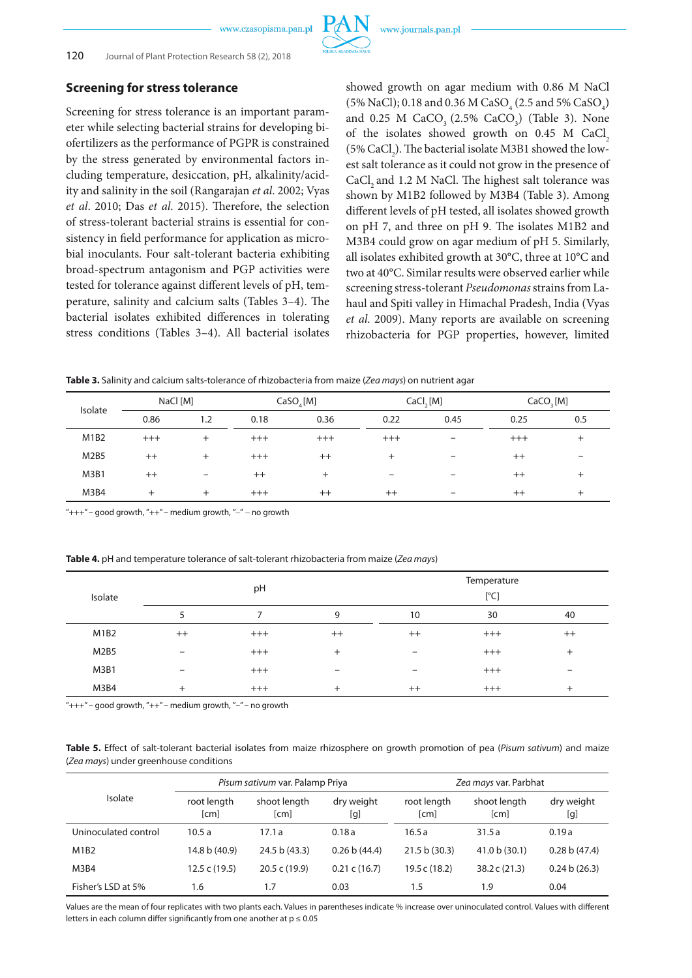

## **Screening for stress tolerance**

Screening for stress tolerance is an important parameter while selecting bacterial strains for developing biofertilizers as the performance of PGPR is constrained by the stress generated by environmental factors including temperature, desiccation, pH, alkalinity/acidity and salinity in the soil (Rangarajan *et al*. 2002; Vyas *et al*. 2010; Das *et al*. 2015). Therefore, the selection of stress-tolerant bacterial strains is essential for consistency in field performance for application as microbial inoculants. Four salt-tolerant bacteria exhibiting broad-spectrum antagonism and PGP activities were tested for tolerance against different levels of pH, temperature, salinity and calcium salts (Tables 3–4). The bacterial isolates exhibited differences in tolerating stress conditions (Tables 3–4). All bacterial isolates

showed growth on agar medium with 0.86 M NaCl (5% NaCl); 0.18 and 0.36 M CaSO<sub>4</sub> (2.5 and 5% CaSO<sub>4</sub>) and 0.25 M  $CaCO<sub>3</sub>$  (2.5%  $CaCO<sub>3</sub>$ ) (Table 3). None of the isolates showed growth on  $0.45$  M CaCl<sub>2</sub> (5%  $\rm CaCl_2$ ). The bacterial isolate M3B1 showed the lowest salt tolerance as it could not grow in the presence of CaCl<sub>2</sub> and 1.2 M NaCl. The highest salt tolerance was shown by M1B2 followed by M3B4 (Table 3). Among different levels of pH tested, all isolates showed growth on pH 7, and three on pH 9. The isolates M1B2 and M3B4 could grow on agar medium of pH 5. Similarly, all isolates exhibited growth at 30**°**C, three at 10**°**C and two at 40°C. Similar results were observed earlier while screening stress-tolerant *Pseudomonas* strains from Lahaul and Spiti valley in Himachal Pradesh, India (Vyas *et al*. 2009). Many reports are available on screening rhizobacteria for PGP properties, however, limited

**Table 3.** Salinity and calcium salts-tolerance of rhizobacteria from maize (*Zea mays*) on nutrient agar

| Isolate                       |       | NaCl [M]                 |         | CaSO <sub>a</sub> [M] |                          | CaCl <sub>2</sub> [M]    |         | CaCO <sub>3</sub> [M] |  |
|-------------------------------|-------|--------------------------|---------|-----------------------|--------------------------|--------------------------|---------|-----------------------|--|
|                               | 0.86  | 1.2                      | 0.18    | 0.36                  | 0.22                     | 0.45                     | 0.25    | 0.5                   |  |
| M <sub>1</sub> B <sub>2</sub> | $+++$ | $^{+}$                   | $+++$   | $^{+++}$              | $+++$                    | $\overline{\phantom{0}}$ | $+++$   | $^+$                  |  |
| <b>M2B5</b>                   | $++$  | $^{+}$                   | $+++$   | $^{++}$               | $^+$                     | -                        | $^{++}$ |                       |  |
| M3B1                          | $++$  | $\overline{\phantom{a}}$ | $^{++}$ | $^{+}$                | $\overline{\phantom{0}}$ |                          | $^{++}$ | $^+$                  |  |
| M3B4                          | $+$   | $^{+}$                   | $+++$   | $^{++}$               | $++$                     |                          | $^{++}$ | $^+$                  |  |

"+++" – good growth, "++" – medium growth, " $-$ " – no growth

|  |  | Table 4. pH and temperature tolerance of salt-tolerant rhizobacteria from maize (Zea mays) |
|--|--|--------------------------------------------------------------------------------------------|
|  |  |                                                                                            |

|         |                          |       |                          | Temperature |       |         |  |
|---------|--------------------------|-------|--------------------------|-------------|-------|---------|--|
| Isolate |                          | pH    |                          | [°C]        |       |         |  |
|         |                          |       | 9                        | 10          | 30    | 40      |  |
| M1B2    | $++$                     | $+++$ | $^{++}$                  | $++$        | $+++$ | $^{++}$ |  |
| M2B5    | $\overline{\phantom{0}}$ | $+++$ | $^{+}$                   |             | $+++$ | $^{+}$  |  |
| M3B1    | $\overline{\phantom{0}}$ | $+++$ | $\overline{\phantom{a}}$ | -           | $+++$ |         |  |
| M3B4    | $^{+}$                   | $+++$ | $^{+}$                   | $++$        | $+++$ | $+$     |  |

 $"+++"$  – good growth, " $++"$  – medium growth, "-" – no growth

**Table 5.** Effect of salt-tolerant bacterial isolates from maize rhizosphere on growth promotion of pea (*Pisum sativum*) and maize (*Zea mays*) under greenhouse conditions

|                      |                     | Pisum sativum var. Palamp Priya |                         | Zea mays var. Parbhat |                      |                   |  |
|----------------------|---------------------|---------------------------------|-------------------------|-----------------------|----------------------|-------------------|--|
| Isolate              | root length<br>[cm] | shoot length<br>[cm]            | dry weight<br>[g]       | root length<br>[cm]   | shoot length<br>[cm] | dry weight<br>[g] |  |
| Uninoculated control | 10.5a               | 17.1a                           | 0.18a                   | 16.5a                 | 31.5a                | 0.19a             |  |
| M1B2                 | 14.8 b (40.9)       | 24.5 b (43.3)                   | 0.26 b (44.4)           | 21.5 b (30.3)         | 41.0 b(30.1)         | 0.28 b (47.4)     |  |
| M3B4                 | 12.5 c (19.5)       | 20.5 c (19.9)                   | $0.21 \text{ c} (16.7)$ | 19.5 c (18.2)         | 38.2c(21.3)          | 0.24 b(26.3)      |  |
| Fisher's LSD at 5%   | 1.6                 | 1.7                             | 0.03                    | 1.5                   | 1.9                  | 0.04              |  |

Values are the mean of four replicates with two plants each. Values in parentheses indicate % increase over uninoculated control. Values with different letters in each column differ significantly from one another at  $p \le 0.05$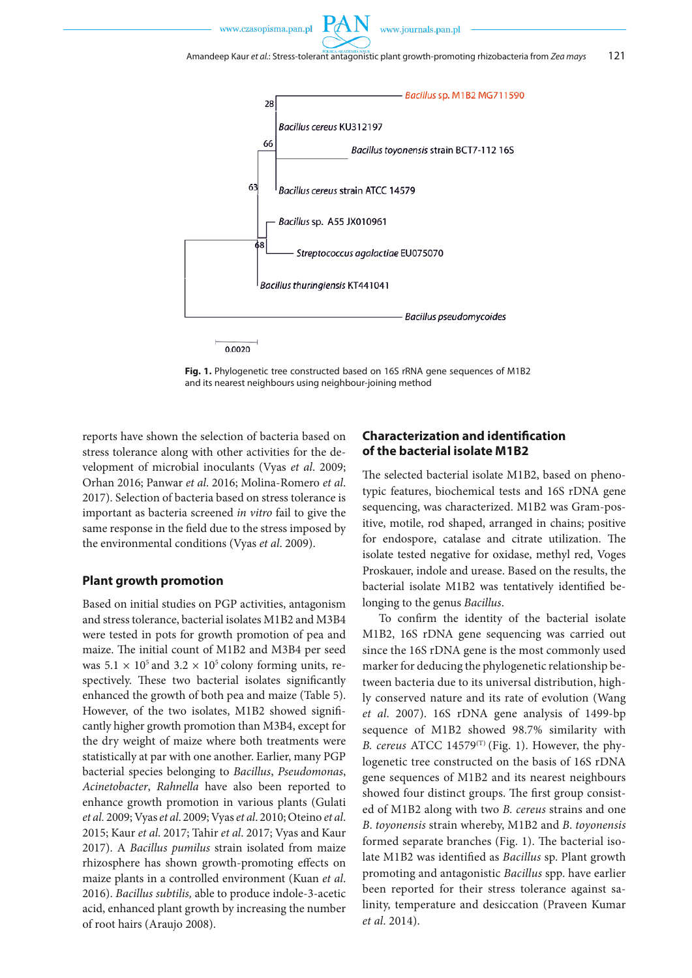

**Fig. 1.** Phylogenetic tree constructed based on 16S rRNA gene sequences of M1B2 and its nearest neighbours using neighbour-joining method

reports have shown the selection of bacteria based on stress tolerance along with other activities for the development of microbial inoculants (Vyas *et al*. 2009; Orhan 2016; Panwar *et al*. 2016; Molina-Romero *et al*. 2017). Selection of bacteria based on stress tolerance is important as bacteria screened *in vitro* fail to give the same response in the field due to the stress imposed by the environmental conditions (Vyas *et al*. 2009).

#### **Plant growth promotion**

Based on initial studies on PGP activities, antagonism and stress tolerance, bacterial isolates M1B2 and M3B4 were tested in pots for growth promotion of pea and maize. The initial count of M1B2 and M3B4 per seed was  $5.1 \times 10^5$  and  $3.2 \times 10^5$  colony forming units, respectively. These two bacterial isolates significantly enhanced the growth of both pea and maize (Table 5). However, of the two isolates, M1B2 showed significantly higher growth promotion than M3B4, except for the dry weight of maize where both treatments were statistically at par with one another. Earlier, many PGP bacterial species belonging to *Bacillus*, *Pseudomonas*, *Acinetobacter*, *Rahnella* have also been reported to enhance growth promotion in various plants (Gulati *et al.* 2009; Vyas *et al*. 2009; Vyas *et al*. 2010; Oteino *et al*. 2015; Kaur *et al*. 2017; Tahir *et al*. 2017; Vyas and Kaur 2017). A *Bacillus pumilus* strain isolated from maize rhizosphere has shown growth-promoting effects on maize plants in a controlled environment (Kuan *et al*. 2016). *Bacillus subtilis,* able to produce indole-3-acetic acid, enhanced plant growth by increasing the number of root hairs (Araujo 2008).

## **Characterization and identification of the bacterial isolate M1B2**

The selected bacterial isolate M1B2, based on phenotypic features, biochemical tests and 16S rDNA gene sequencing, was characterized. M1B2 was Gram-positive, motile, rod shaped, arranged in chains; positive for endospore, catalase and citrate utilization. The isolate tested negative for oxidase, methyl red, Voges Proskauer, indole and urease. Based on the results, the bacterial isolate M1B2 was tentatively identified belonging to the genus *Bacillus*.

To confirm the identity of the bacterial isolate M1B2, 16S rDNA gene sequencing was carried out since the 16S rDNA gene is the most commonly used marker for deducing the phylogenetic relationship between bacteria due to its universal distribution, highly conserved nature and its rate of evolution (Wang *et al*. 2007). 16S rDNA gene analysis of 1499-bp sequence of M1B2 showed 98.7% similarity with *B. cereus* ATCC 14579 $^{(T)}$  (Fig. 1). However, the phylogenetic tree constructed on the basis of 16S rDNA gene sequences of M1B2 and its nearest neighbours showed four distinct groups. The first group consisted of M1B2 along with two *B. cereus* strains and one *B*. *toyonensis* strain whereby, M1B2 and *B*. *toyonensis* formed separate branches (Fig. 1). The bacterial isolate M1B2 was identified as *Bacillus* sp. Plant growth promoting and antagonistic *Bacillus* spp. have earlier been reported for their stress tolerance against salinity, temperature and desiccation (Praveen Kumar *et al*. 2014).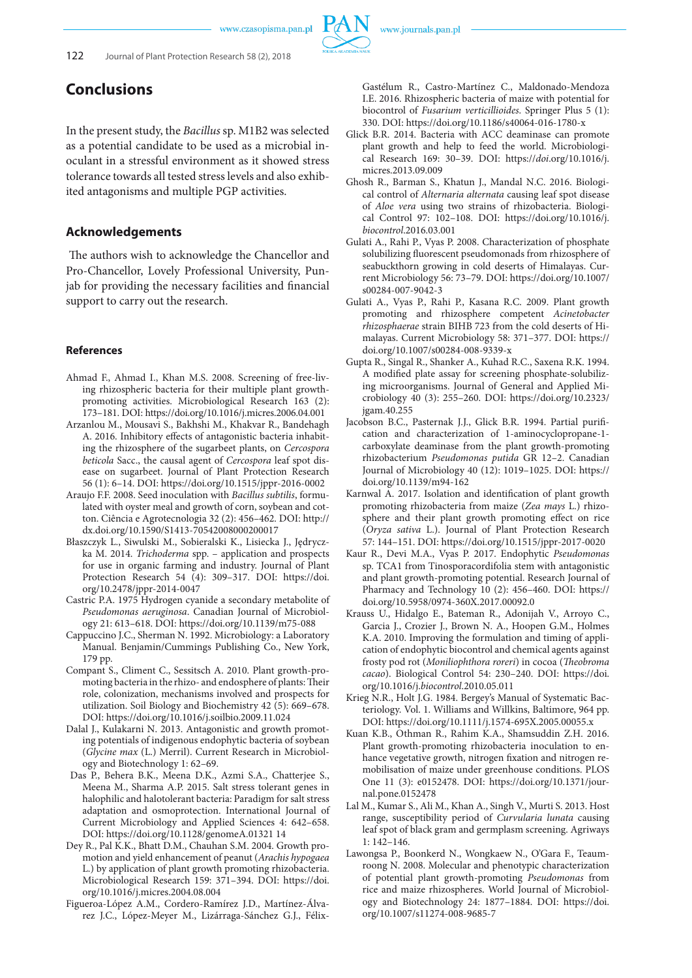

## **Conclusions**

In the present study, the *Bacillus* sp. M1B2 was selected as a potential candidate to be used as a microbial inoculant in a stressful environment as it showed stress tolerance towards all tested stress levels and also exhibited antagonisms and multiple PGP activities.

### **Acknowledgements**

 The authors wish to acknowledge the Chancellor and Pro-Chancellor, Lovely Professional University, Punjab for providing the necessary facilities and financial support to carry out the research.

#### **References**

- Ahmad F., Ahmad I., Khan M.S. 2008. Screening of free-living rhizospheric bacteria for their multiple plant growthpromoting activities. Microbiological Research 163 (2): 173–181. DOI: https://doi.org/10.1016/j.micres.2006.04.001
- Arzanlou M., Mousavi S., Bakhshi M., Khakvar R., Bandehagh A. 2016. Inhibitory effects of antagonistic bacteria inhabiting the rhizosphere of the sugarbeet plants, on *Cercospora beticola* Sacc., the causal agent of *Cercospora* leaf spot disease on sugarbeet. Journal of Plant Protection Research 56 (1): 6–14. DOI: https://doi.org/10.1515/jppr-2016-0002
- Araujo F.F. 2008. Seed inoculation with *Bacillus subtilis*, formulated with oyster meal and growth of corn, soybean and cotton. Ciência e Agrotecnologia 32 (2): 456–462. DOI: http:// dx.doi.org/10.1590/S1413-70542008000200017
- Błaszczyk L., Siwulski M., Sobieralski K., Lisiecka J., Jędryczka M. 2014. *Trichoderma* spp. – application and prospects for use in organic farming and industry. Journal of Plant Protection Research 54 (4): 309–317. DOI: https://doi. org/10.2478/jppr-2014-0047
- Castric P.A. 1975 Hydrogen cyanide a secondary metabolite of *Pseudomonas aeruginosa*. Canadian Journal of Microbiology 21: 613–618. DOI: https://doi.org/10.1139/m75-088
- Cappuccino J.C., Sherman N. 1992. Microbiology: a Laboratory Manual. Benjamin/Cummings Publishing Co., New York, 179 pp.
- Compant S., Climent C., Sessitsch A. 2010. Plant growth-promoting bacteria in the rhizo- and endosphere of plants: Their role, colonization, mechanisms involved and prospects for utilization. Soil Biology and Biochemistry 42 (5): 669–678. DOI: https://doi.org/10.1016/j.soilbio.2009.11.024
- Dalal J., Kulakarni N. 2013. Antagonistic and growth promoting potentials of indigenous endophytic bacteria of soybean (*Glycine max* (L.) Merril). Current Research in Microbiology and Biotechnology 1: 62–69.
- Das P., Behera B.K., Meena D.K., Azmi S.A., Chatterjee S., Meena M., Sharma A.P. 2015. Salt stress tolerant genes in halophilic and halotolerant bacteria: Paradigm for salt stress adaptation and osmoprotection. International Journal of Current Microbiology and Applied Sciences 4: 642–658. DOI: https://doi.org/10.1128/genomeA.01321 14
- Dey R., Pal K.K., Bhatt D.M., Chauhan S.M. 2004. Growth promotion and yield enhancement of peanut (*Arachis hypogaea* L.) by application of plant growth promoting rhizobacteria. Microbiological Research 159: 371–394. DOI: https://doi. org/10.1016/j.micres.2004.08.004
- Figueroa-López A.M., Cordero-Ramírez J.D., Martínez-Álvarez J.C., López-Meyer M., Lizárraga-Sánchez G.J., Félix-

Gastélum R., Castro-Martínez C., Maldonado-Mendoza I.E. 2016. Rhizospheric bacteria of maize with potential for biocontrol of *Fusarium verticillioides*. Springer Plus 5 (1): 330. DOI: https://doi.org/10.1186/s40064-016-1780-x

- Glick B.R. 2014. Bacteria with ACC deaminase can promote plant growth and help to feed the world. Microbiological Research 169: 30–39. DOI: https://*doi*.org/10.1016/j. micres.2013.09.009
- Ghosh R., Barman S., Khatun J., Mandal N.C. 2016. Biological control of *Alternaria alternata* causing leaf spot disease of *Aloe vera* using two strains of rhizobacteria. Biological Control 97: 102–108. DOI: https://doi.org/10.1016/j. *biocontrol*.2016.03.001
- Gulati A., Rahi P., Vyas P. 2008. Characterization of phosphate solubilizing fluorescent pseudomonads from rhizosphere of seabuckthorn growing in cold deserts of Himalayas. Current Microbiology 56: 73–79. DOI: https://doi.org/10.1007/ s00284-007-9042-3
- Gulati A., Vyas P., Rahi P., Kasana R.C. 2009. Plant growth promoting and rhizosphere competent *Acinetobacter rhizosphaerae* strain BIHB 723 from the cold deserts of Himalayas. Current Microbiology 58: 371–377. DOI: https:// doi.org/10.1007/s00284-008-9339-x
- Gupta R., Singal R., Shanker A., Kuhad R.C., Saxena R.K. 1994. A modified plate assay for screening phosphate-solubilizing microorganisms. Journal of General and Applied Microbiology 40 (3): 255–260. DOI: https://doi.org/10.2323/ jgam.40.255
- Jacobson B.C., Pasternak J.J., Glick B.R. 1994. Partial purification and characterization of 1-aminocyclopropane-1 carboxylate deaminase from the plant growth-promoting rhizobacterium *Pseudomonas putida* GR 12–2. Canadian Journal of Microbiology 40 (12): 1019–1025. DOI: https:// doi.org/10.1139/m94-162
- Karnwal A. 2017. Isolation and identification of plant growth promoting rhizobacteria from maize (*Zea mays* L.) rhizosphere and their plant growth promoting effect on rice (*Oryza sativa* L.). Journal of Plant Protection Research 57: 144–151. DOI: https://doi.org/10.1515/jppr-2017-0020
- Kaur R., Devi M.A., Vyas P. 2017. Endophytic *Pseudomonas* sp. TCA1 from Tinosporacordifolia stem with antagonistic and plant growth-promoting potential. Research Journal of Pharmacy and Technology 10 (2): 456–460. DOI: https:// doi.org/10.5958/0974-360X.2017.00092.0
- Krauss U., Hidalgo E., Bateman R., Adonijah V., Arroyo C., Garcia J., Crozier J., Brown N. A., Hoopen G.M., Holmes K.A. 2010. Improving the formulation and timing of application of endophytic biocontrol and chemical agents against frosty pod rot (*Moniliophthora roreri*) in cocoa (*Theobroma cacao*). Biological Control 54: 230–240. DOI: https://doi. org/10.1016/j.*biocontrol*.2010.05.011
- Krieg N.R., Holt J.G. 1984. Bergey's Manual of Systematic Bacteriology. Vol. 1. Williams and Willkins, Baltimore, 964 pp. DOI: https://doi.org/10.1111/j.1574-695X.2005.00055.x
- Kuan K.B., Othman R., Rahim K.A., Shamsuddin Z.H. 2016. Plant growth-promoting rhizobacteria inoculation to enhance vegetative growth, nitrogen fixation and nitrogen remobilisation of maize under greenhouse conditions. PLOS One 11 (3): e0152478. DOI: https://doi.org/10.1371/journal.pone.0152478
- Lal M., Kumar S., Ali M., Khan A., Singh V., Murti S. 2013. Host range, susceptibility period of *Curvularia lunata* causing leaf spot of black gram and germplasm screening. Agriways 1: 142–146.
- Lawongsa P., Boonkerd N., Wongkaew N., O'Gara F., Teaumroong N. 2008. Molecular and phenotypic characterization of potential plant growth-promoting *Pseudomonas* from rice and maize rhizospheres. World Journal of Microbiology and Biotechnology 24: 1877–1884. DOI: https://doi. org/10.1007/s11274-008-9685-7